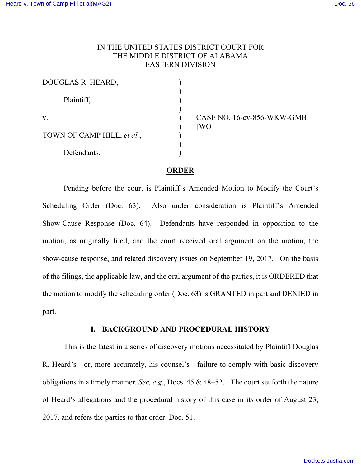## IN THE UNITED STATES DISTRICT COURT FOR THE MIDDLE DISTRICT OF ALABAMA EASTERN DIVISION

| DOUGLAS R. HEARD,          |  |
|----------------------------|--|
| Plaintiff,                 |  |
| V.                         |  |
| TOWN OF CAMP HILL, et al., |  |
| Defendants.                |  |

CASE NO. 16-cv-856-WKW-GMB  $[WO]$ 

### **ORDER**

Pending before the court is Plaintiff's Amended Motion to Modify the Court's Scheduling Order (Doc. 63). Also under consideration is Plaintiff's Amended Show-Cause Response (Doc. 64). Defendants have responded in opposition to the motion, as originally filed, and the court received oral argument on the motion, the show-cause response, and related discovery issues on September 19, 2017. On the basis of the filings, the applicable law, and the oral argument of the parties, it is ORDERED that the motion to modify the scheduling order (Doc. 63) is GRANTED in part and DENIED in part.

### **I. BACKGROUND AND PROCEDURAL HISTORY**

This is the latest in a series of discovery motions necessitated by Plaintiff Douglas R. Heard's—or, more accurately, his counsel's—failure to comply with basic discovery obligations in a timely manner. *See, e.g.*, Docs. 45 & 48–52. The court set forth the nature of Heard's allegations and the procedural history of this case in its order of August 23, 2017, and refers the parties to that order. Doc. 51.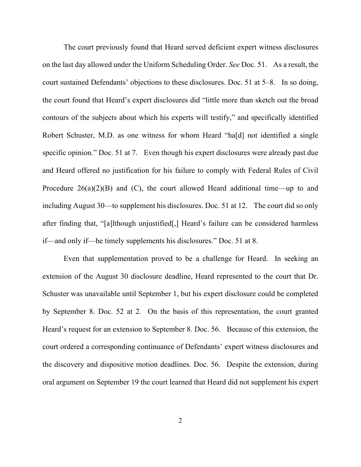The court previously found that Heard served deficient expert witness disclosures on the last day allowed under the Uniform Scheduling Order. *See* Doc. 51. As a result, the court sustained Defendants' objections to these disclosures. Doc. 51 at 5–8. In so doing, the court found that Heard's expert disclosures did "little more than sketch out the broad contours of the subjects about which his experts will testify," and specifically identified Robert Schuster, M.D. as one witness for whom Heard "ha[d] not identified a single specific opinion." Doc. 51 at 7. Even though his expert disclosures were already past due and Heard offered no justification for his failure to comply with Federal Rules of Civil Procedure  $26(a)(2)(B)$  and (C), the court allowed Heard additional time—up to and including August 30—to supplement his disclosures. Doc. 51 at 12. The court did so only after finding that, "[a]lthough unjustified[,] Heard's failure can be considered harmless if—and only if—he timely supplements his disclosures." Doc. 51 at 8.

Even that supplementation proved to be a challenge for Heard. In seeking an extension of the August 30 disclosure deadline, Heard represented to the court that Dr. Schuster was unavailable until September 1, but his expert disclosure could be completed by September 8. Doc. 52 at 2. On the basis of this representation, the court granted Heard's request for an extension to September 8. Doc. 56. Because of this extension, the court ordered a corresponding continuance of Defendants' expert witness disclosures and the discovery and dispositive motion deadlines. Doc. 56. Despite the extension, during oral argument on September 19 the court learned that Heard did not supplement his expert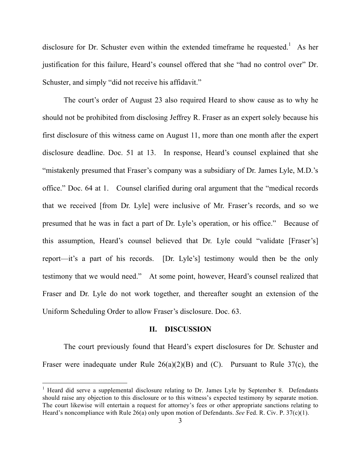disclosure for Dr. Schuster even within the extended timeframe he requested.<sup>1</sup> As her justification for this failure, Heard's counsel offered that she "had no control over" Dr. Schuster, and simply "did not receive his affidavit."

The court's order of August 23 also required Heard to show cause as to why he should not be prohibited from disclosing Jeffrey R. Fraser as an expert solely because his first disclosure of this witness came on August 11, more than one month after the expert disclosure deadline. Doc. 51 at 13. In response, Heard's counsel explained that she "mistakenly presumed that Fraser's company was a subsidiary of Dr. James Lyle, M.D.'s office." Doc. 64 at 1. Counsel clarified during oral argument that the "medical records that we received [from Dr. Lyle] were inclusive of Mr. Fraser's records, and so we presumed that he was in fact a part of Dr. Lyle's operation, or his office." Because of this assumption, Heard's counsel believed that Dr. Lyle could "validate [Fraser's] report—it's a part of his records. [Dr. Lyle's] testimony would then be the only testimony that we would need." At some point, however, Heard's counsel realized that Fraser and Dr. Lyle do not work together, and thereafter sought an extension of the Uniform Scheduling Order to allow Fraser's disclosure. Doc. 63.

#### **II. DISCUSSION**

The court previously found that Heard's expert disclosures for Dr. Schuster and Fraser were inadequate under Rule 26(a)(2)(B) and (C). Pursuant to Rule 37(c), the

 $1$  Heard did serve a supplemental disclosure relating to Dr. James Lyle by September 8. Defendants should raise any objection to this disclosure or to this witness's expected testimony by separate motion. The court likewise will entertain a request for attorney's fees or other appropriate sanctions relating to Heard's noncompliance with Rule 26(a) only upon motion of Defendants. *See* Fed. R. Civ. P. 37(c)(1).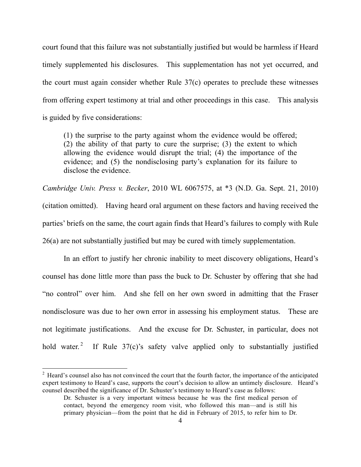court found that this failure was not substantially justified but would be harmless if Heard timely supplemented his disclosures. This supplementation has not yet occurred, and the court must again consider whether Rule 37(c) operates to preclude these witnesses from offering expert testimony at trial and other proceedings in this case. This analysis is guided by five considerations:

(1) the surprise to the party against whom the evidence would be offered; (2) the ability of that party to cure the surprise; (3) the extent to which allowing the evidence would disrupt the trial; (4) the importance of the evidence; and (5) the nondisclosing party's explanation for its failure to disclose the evidence.

*Cambridge Univ. Press v. Becker*, 2010 WL 6067575, at \*3 (N.D. Ga. Sept. 21, 2010) (citation omitted). Having heard oral argument on these factors and having received the parties' briefs on the same, the court again finds that Heard's failures to comply with Rule 26(a) are not substantially justified but may be cured with timely supplementation.

In an effort to justify her chronic inability to meet discovery obligations, Heard's counsel has done little more than pass the buck to Dr. Schuster by offering that she had "no control" over him. And she fell on her own sword in admitting that the Fraser nondisclosure was due to her own error in assessing his employment status. These are not legitimate justifications. And the excuse for Dr. Schuster, in particular, does not hold water.<sup>2</sup> If Rule  $37(c)$ 's safety valve applied only to substantially justified

<sup>&</sup>lt;sup>2</sup> Heard's counsel also has not convinced the court that the fourth factor, the importance of the anticipated expert testimony to Heard's case, supports the court's decision to allow an untimely disclosure. Heard's counsel described the significance of Dr. Schuster's testimony to Heard's case as follows:

Dr. Schuster is a very important witness because he was the first medical person of contact, beyond the emergency room visit, who followed this man—and is still his primary physician—from the point that he did in February of 2015, to refer him to Dr.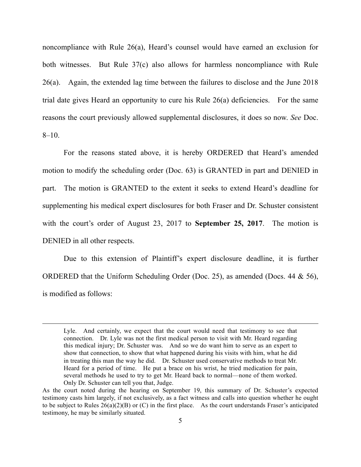noncompliance with Rule 26(a), Heard's counsel would have earned an exclusion for both witnesses. But Rule 37(c) also allows for harmless noncompliance with Rule 26(a). Again, the extended lag time between the failures to disclose and the June 2018 trial date gives Heard an opportunity to cure his Rule 26(a) deficiencies. For the same reasons the court previously allowed supplemental disclosures, it does so now. *See* Doc.  $8-10$ .

For the reasons stated above, it is hereby ORDERED that Heard's amended motion to modify the scheduling order (Doc. 63) is GRANTED in part and DENIED in part. The motion is GRANTED to the extent it seeks to extend Heard's deadline for supplementing his medical expert disclosures for both Fraser and Dr. Schuster consistent with the court's order of August 23, 2017 to **September 25, 2017**. The motion is DENIED in all other respects.

Due to this extension of Plaintiff's expert disclosure deadline, it is further ORDERED that the Uniform Scheduling Order (Doc. 25), as amended (Docs. 44 & 56), is modified as follows:

 $\overline{a}$ 

Lyle. And certainly, we expect that the court would need that testimony to see that connection. Dr. Lyle was not the first medical person to visit with Mr. Heard regarding this medical injury; Dr. Schuster was. And so we do want him to serve as an expert to show that connection, to show that what happened during his visits with him, what he did in treating this man the way he did. Dr. Schuster used conservative methods to treat Mr. Heard for a period of time. He put a brace on his wrist, he tried medication for pain, several methods he used to try to get Mr. Heard back to normal—none of them worked. Only Dr. Schuster can tell you that, Judge.

As the court noted during the hearing on September 19, this summary of Dr. Schuster's expected testimony casts him largely, if not exclusively, as a fact witness and calls into question whether he ought to be subject to Rules  $26(a)(2)(B)$  or (C) in the first place. As the court understands Fraser's anticipated testimony, he may be similarly situated.